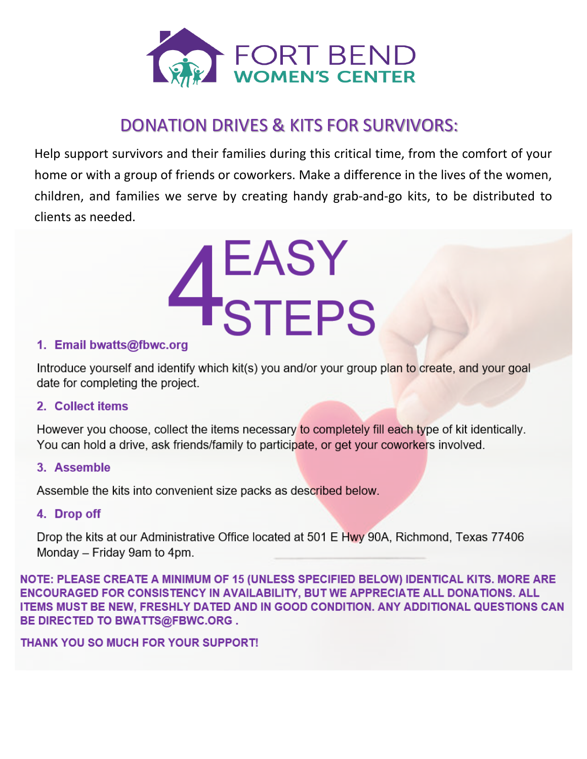

# **DONATION DRIVES & KITS FOR SURVIVORS:**

Help support survivors and their families during this critical time, from the comfort of your home or with a group of friends or coworkers. Make a difference in the lives of the women, children, and families we serve by creating handy grab-and-go kits, to be distributed to clients as needed.



# 1. Email bwatts@fbwc.org

Introduce yourself and identify which kit(s) you and/or your group plan to create, and your goal date for completing the project.

# 2. Collect items

However you choose, collect the items necessary to completely fill each type of kit identically. You can hold a drive, ask friends/family to participate, or get your coworkers involved.

# 3. Assemble

Assemble the kits into convenient size packs as described below.

# 4. Drop off

Drop the kits at our Administrative Office located at 501 E Hwy 90A, Richmond, Texas 77406 Monday – Friday 9am to 4pm.

NOTE: PLEASE CREATE A MINIMUM OF 15 (UNLESS SPECIFIED BELOW) IDENTICAL KITS. MORE ARE ENCOURAGED FOR CONSISTENCY IN AVAILABILITY, BUT WE APPRECIATE ALL DONATIONS. ALL ITEMS MUST BE NEW, FRESHLY DATED AND IN GOOD CONDITION. ANY ADDITIONAL QUESTIONS CAN **BE DIRECTED TO BWATTS@FBWC.ORG.** 

**THANK YOU SO MUCH FOR YOUR SUPPORT!**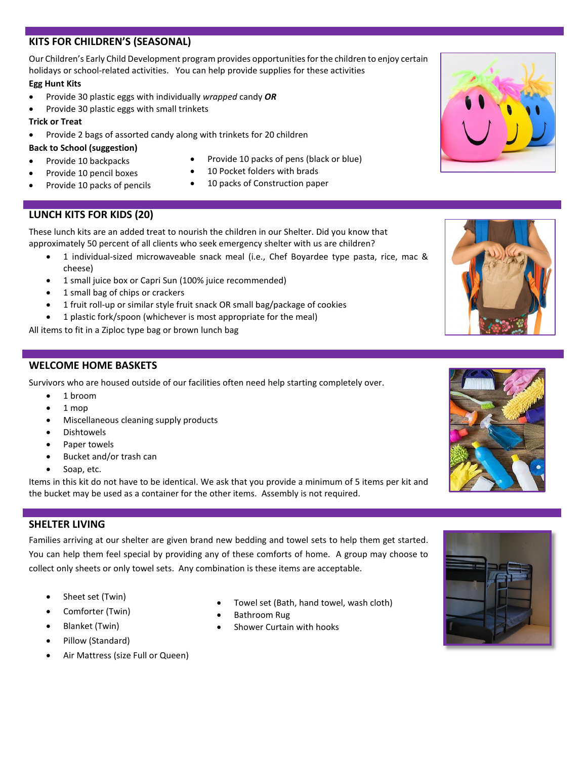### **KITS FOR CHILDREN'S (SEASONAL)**

Our Children's Early Child Development program provides opportunities for the children to enjoy certain holidays or school-related activities. You can help provide supplies for these activities **Egg Hunt Kits**

- Provide 30 plastic eggs with individually *wrapped* candy *OR*
- Provide 30 plastic eggs with small trinkets

#### **Trick or Treat**

• Provide 2 bags of assorted candy along with trinkets for 20 children

#### **Back to School (suggestion)**

- Provide 10 backpacks
- Provide 10 pencil boxes
- Provide 10 packs of pencils
- Provide 10 packs of pens (black or blue)
- 10 Pocket folders with brads
	- 10 packs of Construction paper

# **LUNCH KITS FOR KIDS (20)**

These lunch kits are an added treat to nourish the children in our Shelter. Did you know that approximately 50 percent of all clients who seek emergency shelter with us are children?

- 1 individual-sized microwaveable snack meal (i.e., Chef Boyardee type pasta, rice, mac & cheese)
- 1 small juice box or Capri Sun (100% juice recommended)
- 1 small bag of chips or crackers
- 1 fruit roll-up or similar style fruit snack OR small bag/package of cookies
- 1 plastic fork/spoon (whichever is most appropriate for the meal)

All items to fit in a Ziploc type bag or brown lunch bag

## **WELCOME HOME BASKETS**

Survivors who are housed outside of our facilities often need help starting completely over.

- 1 broom
- 1 mop
- Miscellaneous cleaning supply products
- Dishtowels
- Paper towels
- Bucket and/or trash can
- Soap, etc.

Items in this kit do not have to be identical. We ask that you provide a minimum of 5 items per kit and the bucket may be used as a container for the other items. Assembly is not required.

# **SHELTER LIVING**

Families arriving at our shelter are given brand new bedding and towel sets to help them get started. You can help them feel special by providing any of these comforts of home. A group may choose to collect only sheets or only towel sets. Any combination is these items are acceptable.

- Sheet set (Twin)
- Comforter (Twin)
- Blanket (Twin)
- Pillow (Standard)
- Air Mattress (size Full or Queen)
- Towel set (Bath, hand towel, wash cloth)
- Bathroom Rug
- Shower Curtain with hooks